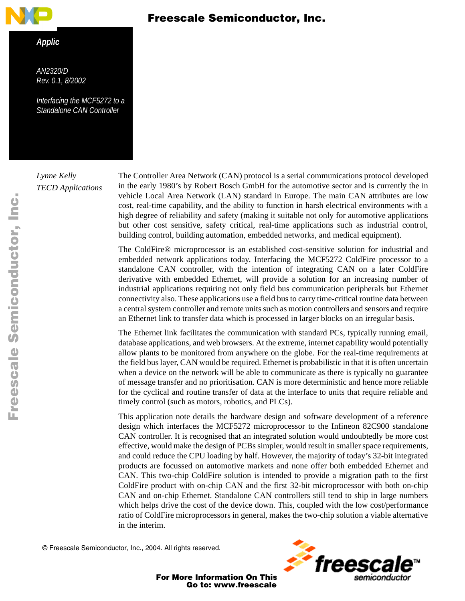

#### *Applic*

<span id="page-0-0"></span>*AN2320/D Rev. 0.1, 8/2002*

*Interfacing the MCF5272 to a Standalone CAN Controller*

*Lynne Kelly TECD Applications*  Freescale Semiconductor, Inc.

The Controller Area Network (CAN) protocol is a serial communications protocol developed in the early 1980's by Robert Bosch GmbH for the automotive sector and is currently the in vehicle Local Area Network (LAN) standard in Europe. The main CAN attributes are low cost, real-time capability, and the ability to function in harsh electrical environments with a high degree of reliability and safety (making it suitable not only for automotive applications but other cost sensitive, safety critical, real-time applications such as industrial control, building control, building automation, embedded networks, and medical equipment).

The ColdFire® microprocessor is an established cost-sensitive solution for industrial and embedded network applications today. Interfacing the MCF5272 ColdFire processor to a standalone CAN controller, with the intention of integrating CAN on a later ColdFire derivative with embedded Ethernet, will provide a solution for an increasing number of industrial applications requiring not only field bus communication peripherals but Ethernet connectivity also. These applications use a field bus to carry time-critical routine data between a central system controller and remote units such as motion controllers and sensors and require an Ethernet link to transfer data which is processed in larger blocks on an irregular basis.

The Ethernet link facilitates the communication with standard PCs, typically running email, database applications, and web browsers. At the extreme, internet capability would potentially allow plants to be monitored from anywhere on the globe. For the real-time requirements at the field bus layer, CAN would be required. Ethernet is probabilistic in that it is often uncertain when a device on the network will be able to communicate as there is typically no guarantee of message transfer and no prioritisation. CAN is more deterministic and hence more reliable for the cyclical and routine transfer of data at the interface to units that require reliable and timely control (such as motors, robotics, and PLCs).

This application note details the hardware design and software development of a reference design which interfaces the MCF5272 microprocessor to the Infineon 82C900 standalone CAN controller. It is recognised that an integrated solution would undoubtedly be more cost effective, would make the design of PCBs simpler, would result in smaller space requirements, and could reduce the CPU loading by half. However, the majority of today's 32-bit integrated products are focussed on automotive markets and none offer both embedded Ethernet and CAN. This two-chip ColdFire solution is intended to provide a migration path to the first ColdFire product with on-chip CAN and the first 32-bit microprocessor with both on-chip CAN and on-chip Ethernet. Standalone CAN controllers still tend to ship in large numbers which helps drive the cost of the device down. This, coupled with the low cost/performance ratio of ColdFire microprocessors in general, makes the two-chip solution a viable alternative in the interim.

© Freescale Semiconductor, Inc., 2004. All rights reserved.

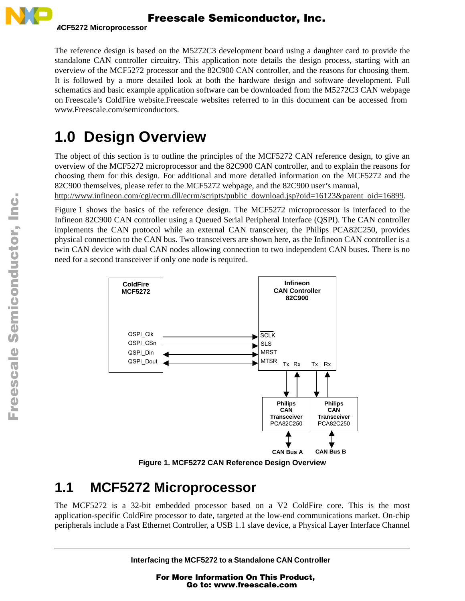

The reference design is based on the M5272C3 development board using a daughter card to provide the standalone CAN controller circuitry. This application note details the design process, starting with an overview of the MCF5272 processor and the 82C900 CAN controller, and the reasons for choosing them. It is followed by a more detailed look at both the hardware design and software development. Full schematics and basic example application software can be downloaded from the M5272C3 CAN webpage on Freescale's ColdFire website.Freescale websites referred to in this document can be accessed from www.Freescale.com/semiconductors.

# **1.0 Design Overview**

The object of this section is to outline the principles of the MCF5272 CAN reference design, to give an overview of the MCF5272 microprocessor and the 82C900 CAN controller, and to explain the reasons for choosing them for this design. For additional and more detailed information on the MCF5272 and the 82C900 themselves, please refer to the MCF5272 webpage, and the 82C900 user's manual,

http://www.infineon.com/cgi/ecrm.dll/ecrm/scripts/public\_download.jsp?oid=16123&parent\_oid=16899.

[Figure 1](#page-1-0) shows the basics of the reference design. The MCF5272 microprocessor is interfaced to the Infineon 82C900 CAN controller using a Queued Serial Peripheral Interface (QSPI). The CAN controller implements the CAN protocol while an external CAN transceiver, the Philips PCA82C250, provides physical connection to the CAN bus. Two transceivers are shown here, as the Infineon CAN controller is a twin CAN device with dual CAN nodes allowing connection to two independent CAN buses. There is no need for a second transceiver if only one node is required.



**Figure 1. MCF5272 CAN Reference Design Overview**

# <span id="page-1-0"></span>**1.1 MCF5272 Microprocessor**

The MCF5272 is a 32-bit embedded processor based on a V2 ColdFire core. This is the most application-specific ColdFire processor to date, targeted at the low-end communications market. On-chip peripherals include a Fast Ethernet Controller, a USB 1.1 slave device, a Physical Layer Interface Channel

**Interfacing the MCF5272 to a Standalone CAN Controller**

For More Information On This Product, Go to: www.freescale.com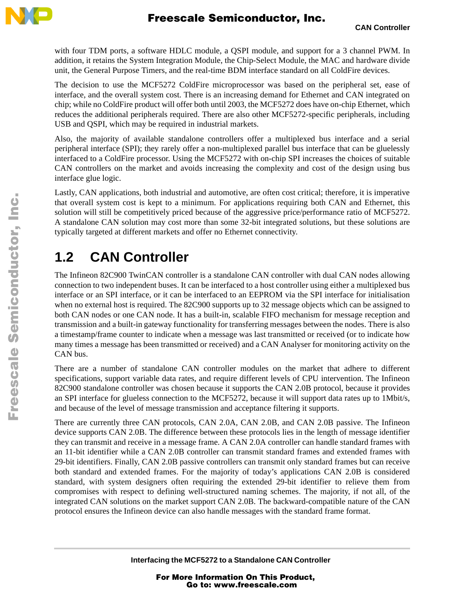

with four TDM ports, a software HDLC module, a QSPI module, and support for a 3 channel PWM. In addition, it retains the System Integration Module, the Chip-Select Module, the MAC and hardware divide unit, the General Purpose Timers, and the real-time BDM interface standard on all ColdFire devices.

The decision to use the MCF5272 ColdFire microprocessor was based on the peripheral set, ease of interface, and the overall system cost. There is an increasing demand for Ethernet and CAN integrated on chip; while no ColdFire product will offer both until 2003, the MCF5272 does have on-chip Ethernet, which reduces the additional peripherals required. There are also other MCF5272-specific peripherals, including USB and QSPI, which may be required in industrial markets.

Also, the majority of available standalone controllers offer a multiplexed bus interface and a serial peripheral interface (SPI); they rarely offer a non-multiplexed parallel bus interface that can be gluelessly interfaced to a ColdFire processor. Using the MCF5272 with on-chip SPI increases the choices of suitable CAN controllers on the market and avoids increasing the complexity and cost of the design using bus interface glue logic.

Lastly, CAN applications, both industrial and automotive, are often cost critical; therefore, it is imperative that overall system cost is kept to a minimum. For applications requiring both CAN and Ethernet, this solution will still be competitively priced because of the aggressive price/performance ratio of MCF5272. A standalone CAN solution may cost more than some 32-bit integrated solutions, but these solutions are typically targeted at different markets and offer no Ethernet connectivity.

# **1.2 CAN Controller**

The Infineon 82C900 TwinCAN controller is a standalone CAN controller with dual CAN nodes allowing connection to two independent buses. It can be interfaced to a host controller using either a multiplexed bus interface or an SPI interface, or it can be interfaced to an EEPROM via the SPI interface for initialisation when no external host is required. The 82C900 supports up to 32 message objects which can be assigned to both CAN nodes or one CAN node. It has a built-in, scalable FIFO mechanism for message reception and transmission and a built-in gateway functionality for transferring messages between the nodes. There is also a timestamp/frame counter to indicate when a message was last transmitted or received (or to indicate how many times a message has been transmitted or received) and a CAN Analyser for monitoring activity on the CAN bus.

There are a number of standalone CAN controller modules on the market that adhere to different specifications, support variable data rates, and require different levels of CPU intervention. The Infineon 82C900 standalone controller was chosen because it supports the CAN 2.0B protocol, because it provides an SPI interface for glueless connection to the MCF5272, because it will support data rates up to 1Mbit/s, and because of the level of message transmission and acceptance filtering it supports.

There are currently three CAN protocols, CAN 2.0A, CAN 2.0B, and CAN 2.0B passive. The Infineon device supports CAN 2.0B. The difference between these protocols lies in the length of message identifier they can transmit and receive in a message frame. A CAN 2.0A controller can handle standard frames with an 11-bit identifier while a CAN 2.0B controller can transmit standard frames and extended frames with 29-bit identifiers. Finally, CAN 2.0B passive controllers can transmit only standard frames but can receive both standard and extended frames. For the majority of today's applications CAN 2.0B is considered standard, with system designers often requiring the extended 29-bit identifier to relieve them from compromises with respect to defining well-structured naming schemes. The majority, if not all, of the integrated CAN solutions on the market support CAN 2.0B. The backward-compatible nature of the CAN protocol ensures the Infineon device can also handle messages with the standard frame format.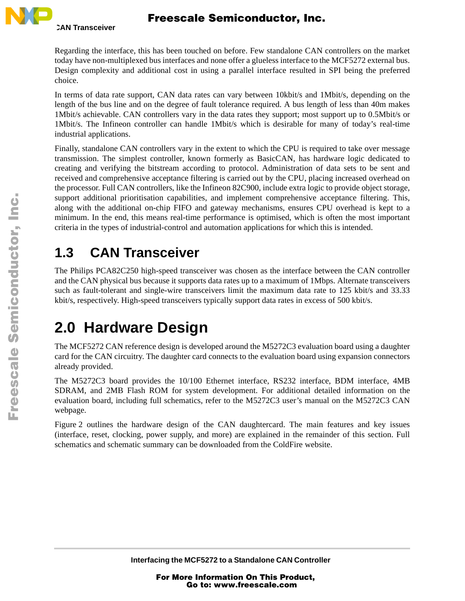

Regarding the interface, this has been touched on before. Few standalone CAN controllers on the market today have non-multiplexed bus interfaces and none offer a glueless interface to the MCF5272 external bus. Design complexity and additional cost in using a parallel interface resulted in SPI being the preferred choice.

In terms of data rate support, CAN data rates can vary between 10kbit/s and 1Mbit/s, depending on the length of the bus line and on the degree of fault tolerance required. A bus length of less than 40m makes 1Mbit/s achievable. CAN controllers vary in the data rates they support; most support up to 0.5Mbit/s or 1Mbit/s. The Infineon controller can handle 1Mbit/s which is desirable for many of today's real-time industrial applications.

Finally, standalone CAN controllers vary in the extent to which the CPU is required to take over message transmission. The simplest controller, known formerly as BasicCAN, has hardware logic dedicated to creating and verifying the bitstream according to protocol. Administration of data sets to be sent and received and comprehensive acceptance filtering is carried out by the CPU, placing increased overhead on the processor. Full CAN controllers, like the Infineon 82C900, include extra logic to provide object storage, support additional prioritisation capabilities, and implement comprehensive acceptance filtering. This, along with the additional on-chip FIFO and gateway mechanisms, ensures CPU overhead is kept to a minimum. In the end, this means real-time performance is optimised, which is often the most important criteria in the types of industrial-control and automation applications for which this is intended.

# **1.3 CAN Transceiver**

The Philips PCA82C250 high-speed transceiver was chosen as the interface between the CAN controller and the CAN physical bus because it supports data rates up to a maximum of 1Mbps. Alternate transceivers such as fault-tolerant and single-wire transceivers limit the maximum data rate to 125 kbit/s and 33.33 kbit/s, respectively. High-speed transceivers typically support data rates in excess of 500 kbit/s.

# **2.0 Hardware Design**

The MCF5272 CAN reference design is developed around the M5272C3 evaluation board using a daughter card for the CAN circuitry. The daughter card connects to the evaluation board using expansion connectors already provided.

The M5272C3 board provides the 10/100 Ethernet interface, RS232 interface, BDM interface, 4MB SDRAM, and 2MB Flash ROM for system development. For additional detailed information on the evaluation board, including full schematics, refer to the M5272C3 user's manual on the M5272C3 CAN webpage.

[Figure 2](#page-4-0) outlines the hardware design of the CAN daughtercard. The main features and key issues (interface, reset, clocking, power supply, and more) are explained in the remainder of this section. Full schematics and schematic summary can be downloaded from the ColdFire website.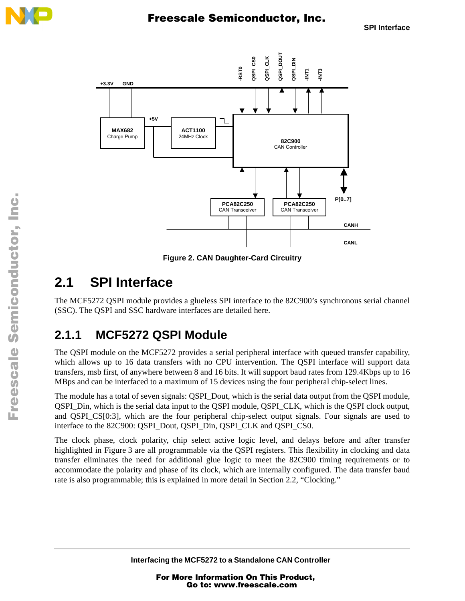



**Figure 2. CAN Daughter-Card Circuitry**

# <span id="page-4-0"></span>**2.1 SPI Interface**

The MCF5272 QSPI module provides a glueless SPI interface to the 82C900's synchronous serial channel (SSC). The QSPI and SSC hardware interfaces are detailed here.

## <span id="page-4-1"></span>**2.1.1 MCF5272 QSPI Module**

The QSPI module on the MCF5272 provides a serial peripheral interface with queued transfer capability, which allows up to 16 data transfers with no CPU intervention. The QSPI interface will support data transfers, msb first, of anywhere between 8 and 16 bits. It will support baud rates from 129.4Kbps up to 16 MBps and can be interfaced to a maximum of 15 devices using the four peripheral chip-select lines.

The module has a total of seven signals: QSPI\_Dout, which is the serial data output from the QSPI module, QSPI\_Din, which is the serial data input to the QSPI module, QSPI\_CLK, which is the QSPI clock output, and QSPI CS[0:3], which are the four peripheral chip-select output signals. Four signals are used to interface to the 82C900: QSPI\_Dout, QSPI\_Din, QSPI\_CLK and QSPI\_CS0.

The clock phase, clock polarity, chip select active logic level, and delays before and after transfer highlighted in [Figure 3](#page-5-0) are all programmable via the QSPI registers. This flexibility in clocking and data transfer eliminates the need for additional glue logic to meet the 82C900 timing requirements or to accommodate the polarity and phase of its clock, which are internally configured. The data transfer baud rate is also programmable; this is explained in more detail in [Section 2.2, "Clocking.](#page-7-0)"

n

.<br>ق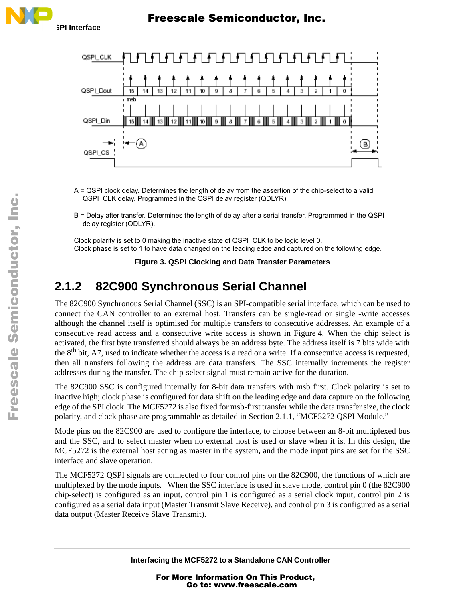

- A = QSPI clock delay. Determines the length of delay from the assertion of the chip-select to a valid QSPI\_CLK delay. Programmed in the QSPI delay register (QDLYR).
- B = Delay after transfer. Determines the length of delay after a serial transfer. Programmed in the QSPI delay register (QDLYR).

Clock polarity is set to 0 making the inactive state of QSPI\_CLK to be logic level 0. Clock phase is set to 1 to have data changed on the leading edge and captured on the following edge.

**Figure 3. QSPI Clocking and Data Transfer Parameters**

## <span id="page-5-0"></span>**2.1.2 82C900 Synchronous Serial Channel**

The 82C900 Synchronous Serial Channel (SSC) is an SPI-compatible serial interface, which can be used to connect the CAN controller to an external host. Transfers can be single-read or single -write accesses although the channel itself is optimised for multiple transfers to consecutive addresses. An example of a consecutive read access and a consecutive write access is shown in [Figure 4](#page-7-1). When the chip select is activated, the first byte transferred should always be an address byte. The address itself is 7 bits wide with the 8<sup>th</sup> bit, A7, used to indicate whether the access is a read or a write. If a consecutive access is requested, then all transfers following the address are data transfers. The SSC internally increments the register addresses during the transfer. The chip-select signal must remain active for the duration.

The 82C900 SSC is configured internally for 8-bit data transfers with msb first. Clock polarity is set to inactive high; clock phase is configured for data shift on the leading edge and data capture on the following edge of the SPI clock. The MCF5272 is also fixed for msb-first transfer while the data transfer size, the clock polarity, and clock phase are programmable as detailed in [Section 2.1.1, "MCF5272 QSPI Module](#page-4-1)."

Mode pins on the 82C900 are used to configure the interface, to choose between an 8-bit multiplexed bus and the SSC, and to select master when no external host is used or slave when it is. In this design, the MCF5272 is the external host acting as master in the system, and the mode input pins are set for the SSC interface and slave operation.

The MCF5272 QSPI signals are connected to four control pins on the 82C900, the functions of which are multiplexed by the mode inputs. When the SSC interface is used in slave mode, control pin 0 (the 82C900 chip-select) is configured as an input, control pin 1 is configured as a serial clock input, control pin 2 is configured as a serial data input (Master Transmit Slave Receive), and control pin 3 is configured as a serial data output (Master Receive Slave Transmit).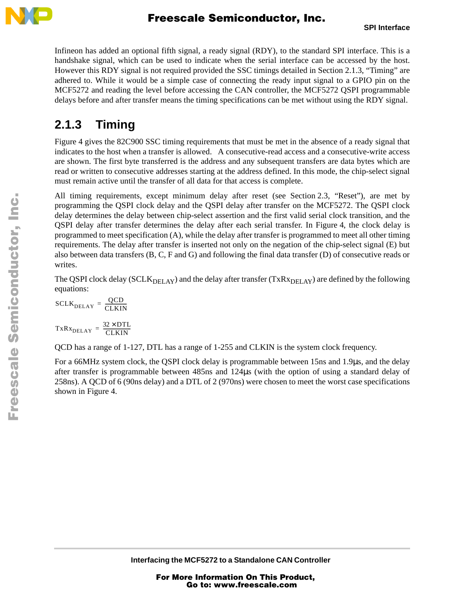

Infineon has added an optional fifth signal, a ready signal (RDY), to the standard SPI interface. This is a handshake signal, which can be used to indicate when the serial interface can be accessed by the host. However this RDY signal is not required provided the SSC timings detailed in [Section 2.1.3, "Timing"](#page-6-0) are adhered to. While it would be a simple case of connecting the ready input signal to a GPIO pin on the MCF5272 and reading the level before accessing the CAN controller, the MCF5272 QSPI programmable delays before and after transfer means the timing specifications can be met without using the RDY signal.

## <span id="page-6-0"></span>**2.1.3 Timing**

[Figure 4](#page-7-1) gives the 82C900 SSC timing requirements that must be met in the absence of a ready signal that indicates to the host when a transfer is allowed. A consecutive-read access and a consecutive-write access are shown. The first byte transferred is the address and any subsequent transfers are data bytes which are read or written to consecutive addresses starting at the address defined. In this mode, the chip-select signal must remain active until the transfer of all data for that access is complete.

All timing requirements, except minimum delay after reset (see [Section 2.3, "Reset"](#page-8-0)), are met by programming the QSPI clock delay and the QSPI delay after transfer on the MCF5272. The QSPI clock delay determines the delay between chip-select assertion and the first valid serial clock transition, and the QSPI delay after transfer determines the delay after each serial transfer. In [Figure 4,](#page-7-1) the clock delay is programmed to meet specification (A), while the delay after transfer is programmed to meet all other timing requirements. The delay after transfer is inserted not only on the negation of the chip-select signal (E) but also between data transfers (B, C, F and G) and following the final data transfer (D) of consecutive reads or writes.

The QSPI clock delay (SCLK<sub>DELAY</sub>) and the delay after transfer (TxRx<sub>DELAY</sub>) are defined by the following equations:

$$
SCLR_{DELAY} = \frac{QCD}{CLKIN}
$$

$$
TxRx_{DELAY} = \frac{32 \times DTL}{CLKIN}
$$

QCD has a range of 1-127, DTL has a range of 1-255 and CLKIN is the system clock frequency.

For a 66MHz system clock, the QSPI clock delay is programmable between 15ns and 1.9µs, and the delay after transfer is programmable between 485ns and 124µs (with the option of using a standard delay of 258ns). A QCD of 6 (90ns delay) and a DTL of 2 (970ns) were chosen to meet the worst case specifications shown in [Figure 4.](#page-7-1)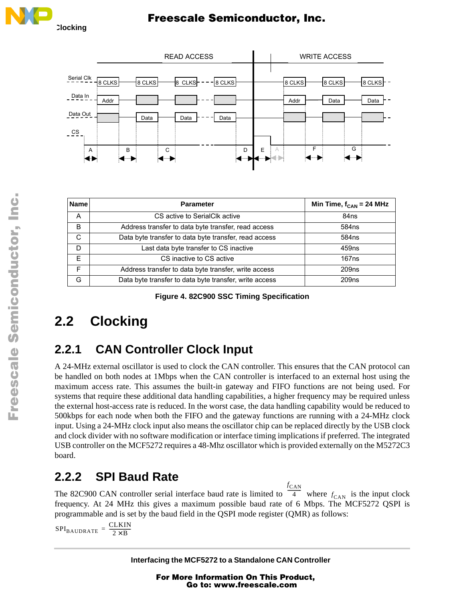



| <b>Name</b> | <b>Parameter</b>                                       | Min Time, $f_{CAN}$ = 24 MHz |
|-------------|--------------------------------------------------------|------------------------------|
| A           | CS active to SerialClk active                          | 84ns                         |
| B           | Address transfer to data byte transfer, read access    | 584ns                        |
| C           | Data byte transfer to data byte transfer, read access  | 584ns                        |
| D           | Last data byte transfer to CS inactive                 | 459 <sub>ns</sub>            |
| F           | CS inactive to CS active                               | 167ns                        |
| E           | Address transfer to data byte transfer, write access   | 209 <sub>ns</sub>            |
| G           | Data byte transfer to data byte transfer, write access | 209ns                        |

**Figure 4. 82C900 SSC Timing Specification**

# <span id="page-7-1"></span><span id="page-7-0"></span>**2.2 Clocking**

## **2.2.1 CAN Controller Clock Input**

A 24-MHz external oscillator is used to clock the CAN controller. This ensures that the CAN protocol can be handled on both nodes at 1Mbps when the CAN controller is interfaced to an external host using the maximum access rate. This assumes the built-in gateway and FIFO functions are not being used. For systems that require these additional data handling capabilities, a higher frequency may be required unless the external host-access rate is reduced. In the worst case, the data handling capability would be reduced to 500kbps for each node when both the FIFO and the gateway functions are running with a 24-MHz clock input. Using a 24-MHz clock input also means the oscillator chip can be replaced directly by the USB clock and clock divider with no software modification or interface timing implications if preferred. The integrated USB controller on the MCF5272 requires a 48-Mhz oscillator which is provided externally on the M5272C3 board.

## **2.2.2 SPI Baud Rate**

The 82C900 CAN controller serial interface baud rate is limited to  $\overline{4}$  where  $f_{\text{CAN}}$  is the input clock frequency. At 24 MHz this gives a maximum possible baud rate of 6 Mbps. The MCF5272 QSPI is programmable and is set by the baud field in the QSPI mode register (QMR) as follows:  $\frac{f_{\text{CAN}}}{4}$  where  $f_{\text{CAN}}$ 

 $SPI_{BAUDRATE} = \frac{CLKIN}{2 \times B}$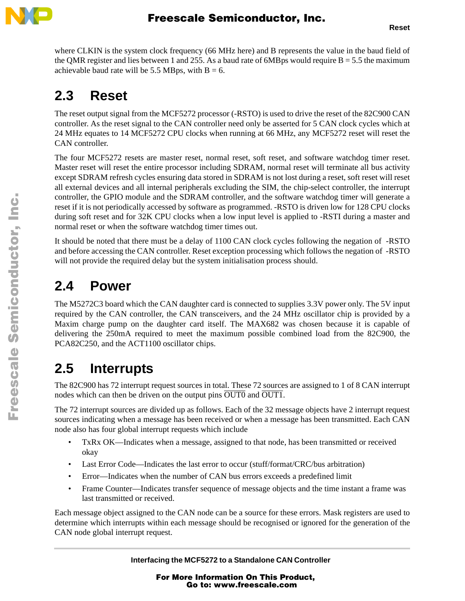

where CLKIN is the system clock frequency (66 MHz here) and B represents the value in the baud field of the OMR register and lies between 1 and 255. As a baud rate of 6MB ps would require  $B = 5.5$  the maximum achievable baud rate will be 5.5 MBps, with  $B = 6$ .

# <span id="page-8-0"></span>**2.3 Reset**

The reset output signal from the MCF5272 processor (-RSTO) is used to drive the reset of the 82C900 CAN controller. As the reset signal to the CAN controller need only be asserted for 5 CAN clock cycles which at 24 MHz equates to 14 MCF5272 CPU clocks when running at 66 MHz, any MCF5272 reset will reset the CAN controller.

The four MCF5272 resets are master reset, normal reset, soft reset, and software watchdog timer reset. Master reset will reset the entire processor including SDRAM, normal reset will terminate all bus activity except SDRAM refresh cycles ensuring data stored in SDRAM is not lost during a reset, soft reset will reset all external devices and all internal peripherals excluding the SIM, the chip-select controller, the interrupt controller, the GPIO module and the SDRAM controller, and the software watchdog timer will generate a reset if it is not periodically accessed by software as programmed. -RSTO is driven low for 128 CPU clocks during soft reset and for 32K CPU clocks when a low input level is applied to -RSTI during a master and normal reset or when the software watchdog timer times out.

It should be noted that there must be a delay of 1100 CAN clock cycles following the negation of -RSTO and before accessing the CAN controller. Reset exception processing which follows the negation of -RSTO will not provide the required delay but the system initialisation process should.

# **2.4 Power**

The M5272C3 board which the CAN daughter card is connected to supplies 3.3V power only. The 5V input required by the CAN controller, the CAN transceivers, and the 24 MHz oscillator chip is provided by a Maxim charge pump on the daughter card itself. The MAX682 was chosen because it is capable of delivering the 250mA required to meet the maximum possible combined load from the 82C900, the PCA82C250, and the ACT1100 oscillator chips.

# **2.5 Interrupts**

The 82C900 has 72 interrupt request sources in total. These 72 sources are assigned to 1 of 8 CAN interrupt nodes which can then be driven on the output pins  $\overline{OUT0}$  and  $\overline{OUT1}$ .

The 72 interrupt sources are divided up as follows. Each of the 32 message objects have 2 interrupt request sources indicating when a message has been received or when a message has been transmitted. Each CAN node also has four global interrupt requests which include

- TxRx OK—Indicates when a message, assigned to that node, has been transmitted or received okay
- Last Error Code—Indicates the last error to occur (stuff/format/CRC/bus arbitration)
- Error—Indicates when the number of CAN bus errors exceeds a predefined limit
- Frame Counter—Indicates transfer sequence of message objects and the time instant a frame was last transmitted or received.

Each message object assigned to the CAN node can be a source for these errors. Mask registers are used to determine which interrupts within each message should be recognised or ignored for the generation of the CAN node global interrupt request.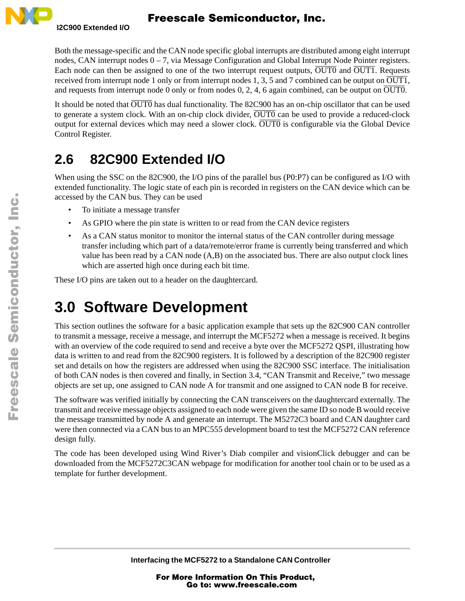

Both the message-specific and the CAN node specific global interrupts are distributed among eight interrupt nodes, CAN interrupt nodes  $0 - 7$ , via Message Configuration and Global Interrupt Node Pointer registers. Each node can then be assigned to one of the two interrupt request outputs,  $\overline{OUT0}$  and  $\overline{OUT1}$ . Requests received from interrupt node 1 only or from interrupt nodes 1, 3, 5 and 7 combined can be output on  $\overline{OUT1}$ , and requests from interrupt node 0 only or from nodes 0, 2, 4, 6 again combined, can be output on  $\overline{OUT0}$ .

It should be noted that  $\overline{OUT0}$  has dual functionality. The 82C900 has an on-chip oscillator that can be used to generate a system clock. With an on-chip clock divider,  $\overline{OUT0}$  can be used to provide a reduced-clock output for external devices which may need a slower clock. OUT0 is configurable via the Global Device Control Register.

# **2.6 82C900 Extended I/O**

When using the SSC on the 82C900, the I/O pins of the parallel bus (P0:P7) can be configured as I/O with extended functionality. The logic state of each pin is recorded in registers on the CAN device which can be accessed by the CAN bus. They can be used

- To initiate a message transfer
- As GPIO where the pin state is written to or read from the CAN device registers
- As a CAN status monitor to monitor the internal status of the CAN controller during message transfer including which part of a data/remote/error frame is currently being transferred and which value has been read by a CAN node (A,B) on the associated bus. There are also output clock lines which are asserted high once during each bit time.

These I/O pins are taken out to a header on the daughtercard.

# **3.0 Software Development**

This section outlines the software for a basic application example that sets up the 82C900 CAN controller to transmit a message, receive a message, and interrupt the MCF5272 when a message is received. It begins with an overview of the code required to send and receive a byte over the MCF5272 QSPI, illustrating how data is written to and read from the 82C900 registers. It is followed by a description of the 82C900 register set and details on how the registers are addressed when using the 82C900 SSC interface. The initialisation of both CAN nodes is then covered and finally, in [Section 3.4, "CAN Transmit and Receive](#page-17-0)," two message objects are set up, one assigned to CAN node A for transmit and one assigned to CAN node B for receive.

The software was verified initially by connecting the CAN transceivers on the daughtercard externally. The transmit and receive message objects assigned to each node were given the same ID so node B would receive the message transmitted by node A and generate an interrupt. The M5272C3 board and CAN daughter card were then connected via a CAN bus to an MPC555 development board to test the MCF5272 CAN reference design fully.

The code has been developed using Wind River's Diab compiler and visionClick debugger and can be downloaded from the MCF5272C3CAN webpage for modification for another tool chain or to be used as a template for further development.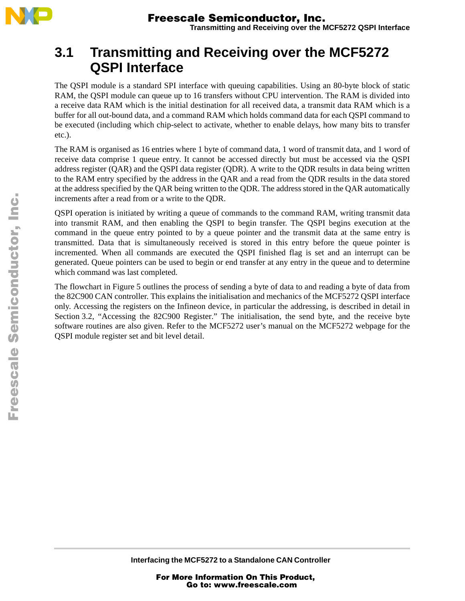

## **3.1 Transmitting and Receiving over the MCF5272 QSPI Interface**

The QSPI module is a standard SPI interface with queuing capabilities. Using an 80-byte block of static RAM, the QSPI module can queue up to 16 transfers without CPU intervention. The RAM is divided into a receive data RAM which is the initial destination for all received data, a transmit data RAM which is a buffer for all out-bound data, and a command RAM which holds command data for each QSPI command to be executed (including which chip-select to activate, whether to enable delays, how many bits to transfer etc.).

The RAM is organised as 16 entries where 1 byte of command data, 1 word of transmit data, and 1 word of receive data comprise 1 queue entry. It cannot be accessed directly but must be accessed via the QSPI address register (QAR) and the QSPI data register (QDR). A write to the QDR results in data being written to the RAM entry specified by the address in the QAR and a read from the QDR results in the data stored at the address specified by the QAR being written to the QDR. The address stored in the QAR automatically increments after a read from or a write to the QDR.

QSPI operation is initiated by writing a queue of commands to the command RAM, writing transmit data into transmit RAM, and then enabling the QSPI to begin transfer. The QSPI begins execution at the command in the queue entry pointed to by a queue pointer and the transmit data at the same entry is transmitted. Data that is simultaneously received is stored in this entry before the queue pointer is incremented. When all commands are executed the QSPI finished flag is set and an interrupt can be generated. Queue pointers can be used to begin or end transfer at any entry in the queue and to determine which command was last completed.

The flowchart in [Figure 5](#page-11-0) outlines the process of sending a byte of data to and reading a byte of data from the 82C900 CAN controller. This explains the initialisation and mechanics of the MCF5272 QSPI interface only. Accessing the registers on the Infineon device, in particular the addressing, is described in detail in [Section 3.2, "Accessing the 82C900 Register](#page-14-0)." The initialisation, the send byte, and the receive byte software routines are also given. Refer to the MCF5272 user's manual on the MCF5272 webpage for the QSPI module register set and bit level detail.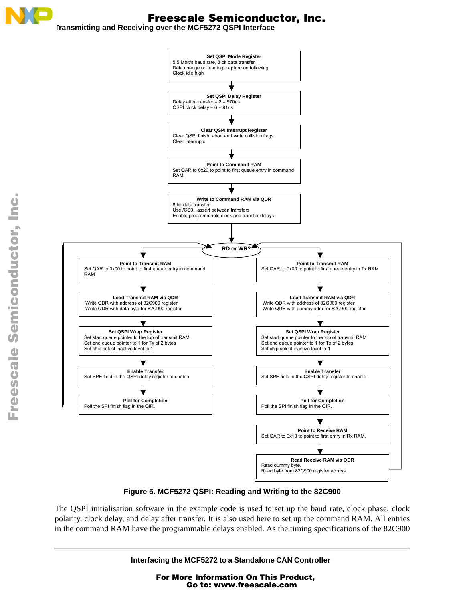**Transmitting and Receiving over the MCF5272 QSPI Interface**



### **Figure 5. MCF5272 QSPI: Reading and Writing to the 82C900**

<span id="page-11-0"></span>The QSPI initialisation software in the example code is used to set up the baud rate, clock phase, clock polarity, clock delay, and delay after transfer. It is also used here to set up the command RAM. All entries in the command RAM have the programmable delays enabled. As the timing specifications of the 82C900

**Interfacing the MCF5272 to a Standalone CAN Controller**

For More Information On This Product, Go to: www.freescale.com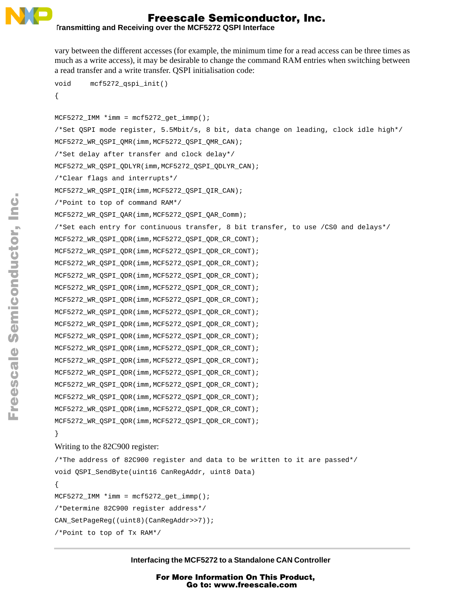

**Transmitting and Receiving over the MCF5272 QSPI Interface**

vary between the different accesses (for example, the minimum time for a read access can be three times as much as a write access), it may be desirable to change the command RAM entries when switching between a read transfer and a write transfer. QSPI initialisation code:

```
void mcf5272_qspi_init()
{
MCF5272 IMM *<i>imm</i> = mcf5272 get immp();
/*Set QSPI mode register, 5.5Mbit/s, 8 bit, data change on leading, clock idle high*/
MCF5272_WR_QSPI_QMR(imm,MCF5272_QSPI_QMR_CAN);
/*Set delay after transfer and clock delay*/
MCF5272_WR_QSPI_QDLYR(imm,MCF5272_QSPI_QDLYR_CAN);
/*Clear flags and interrupts*/
MCF5272_WR_QSPI_QIR(imm,MCF5272_QSPI_QIR_CAN);
/*Point to top of command RAM*/
MCF5272_WR_QSPI_QAR(imm,MCF5272_QSPI_QAR_Comm);
/*Set each entry for continuous transfer, 8 bit transfer, to use /CS0 and delays*/
MCF5272_WR_QSPI_QDR(imm,MCF5272_QSPI_QDR_CR_CONT);
MCF5272_WR_QSPI_QDR(imm,MCF5272_QSPI_QDR_CR_CONT);
MCF5272_WR_QSPI_QDR(imm,MCF5272_QSPI_QDR_CR_CONT);
MCF5272_WR_QSPI_QDR(imm,MCF5272_QSPI_QDR_CR_CONT);
MCF5272_WR_QSPI_QDR(imm,MCF5272_QSPI_QDR_CR_CONT);
MCF5272_WR_QSPI_QDR(imm,MCF5272_QSPI_QDR_CR_CONT);
MCF5272_WR_QSPI_QDR(imm,MCF5272_QSPI_QDR_CR_CONT);
MCF5272_WR_QSPI_QDR(imm,MCF5272_QSPI_QDR_CR_CONT);
MCF5272_WR_QSPI_QDR(imm,MCF5272_QSPI_QDR_CR_CONT);
MCF5272_WR_QSPI_QDR(imm,MCF5272_QSPI_QDR_CR_CONT);
MCF5272_WR_QSPI_QDR(imm,MCF5272_QSPI_QDR_CR_CONT);
MCF5272_WR_QSPI_QDR(imm,MCF5272_QSPI_QDR_CR_CONT);
MCF5272_WR_QSPI_QDR(imm,MCF5272_QSPI_QDR_CR_CONT);
MCF5272_WR_QSPI_QDR(imm,MCF5272_QSPI_QDR_CR_CONT);
MCF5272_WR_QSPI_QDR(imm,MCF5272_QSPI_QDR_CR_CONT);
MCF5272_WR_QSPI_QDR(imm,MCF5272_QSPI_QDR_CR_CONT);
}
Writing to the 82C900 register:
/*The address of 82C900 register and data to be written to it are passed*/
void QSPI_SendByte(uint16 CanRegAddr, uint8 Data)
```

```
{
MCF5272_LIMM *imm = mcf5272_get_immp();
/*Determine 82C900 register address*/
CAN_SetPageReg((uint8)(CanRegAddr>>7));
/*Point to top of Tx RAM*/
```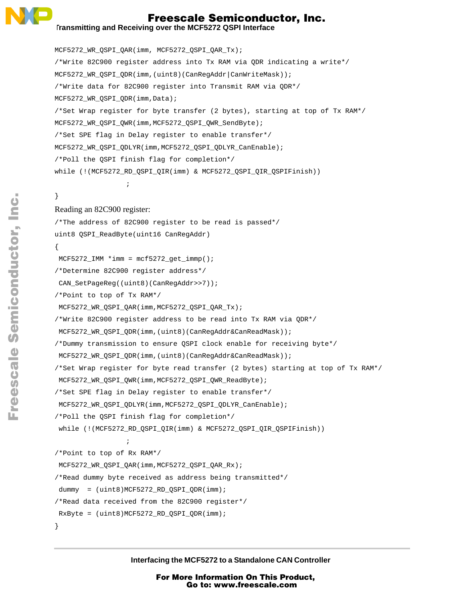

#### **Transmitting and Receiving over the MCF5272 QSPI Interface**

MCF5272\_WR\_QSPI\_QAR(imm, MCF5272\_QSPI\_QAR\_Tx); /\*Write 82C900 register address into Tx RAM via QDR indicating a write\*/ MCF5272\_WR\_QSPI\_QDR(imm,(uint8)(CanRegAddr|CanWriteMask)); /\*Write data for 82C900 register into Transmit RAM via QDR\*/ MCF5272 WR OSPI ODR(imm, Data); /\*Set Wrap register for byte transfer (2 bytes), starting at top of Tx RAM\*/ MCF5272 WR\_OSPI\_OWR(imm,MCF5272\_OSPI\_OWR\_SendByte); /\*Set SPE flag in Delay register to enable transfer\*/ MCF5272\_WR\_QSPI\_QDLYR(imm,MCF5272\_QSPI\_QDLYR\_CanEnable); /\*Poll the QSPI finish flag for completion\*/ while (!(MCF5272\_RD\_QSPI\_QIR(imm) & MCF5272\_QSPI\_QIR\_QSPIFinish))

## }

#### Reading an 82C900 register:

;

```
/*The address of 82C900 register to be read is passed*/
uint8 OSPI ReadByte(uint16 CanRegAddr)
{
MCF5272_LIMM *imm = mcf5272_get\_immp();
/*Determine 82C900 register address*/
CAN_SetPageReg((uint8)(CanRegAddr>>7));
/*Point to top of Tx RAM*/
MCF5272_WR_QSPI_QAR(imm,MCF5272_QSPI_QAR_Tx);
/*Write 82C900 register address to be read into Tx RAM via QDR*/
MCF5272_WR_QSPI_QDR(imm,(uint8)(CanRegAddr&CanReadMask));
/*Dummy transmission to ensure QSPI clock enable for receiving byte*/
MCF5272_WR_QSPI_QDR(imm,(uint8)(CanRegAddr&CanReadMask));
/*Set Wrap register for byte read transfer (2 bytes) starting at top of Tx RAM*/
MCF5272_WR_QSPI_QWR(imm,MCF5272_QSPI_QWR_ReadByte);
/*Set SPE flag in Delay register to enable transfer*/
MCF5272_WR_QSPI_QDLYR(imm,MCF5272_QSPI_QDLYR_CanEnable);
/*Poll the QSPI finish flag for completion*/
while (!(MCF5272_RD_QSPI_QIR(imm) & MCF5272_QSPI_QIR_QSPIFinish))
                 ;
/*Point to top of Rx RAM*/
MCF5272_WR_QSPI_QAR(imm,MCF5272_QSPI_QAR_Rx);
/*Read dummy byte received as address being transmitted*/
dummy = (uint8)MCF5272_RD_QSPI_QDR(imm);
```

```
/*Read data received from the 82C900 register*/
```

```
RxByte = (uint8)MCF5272_RD_QSPI_QDR(imm);
```

```
}
```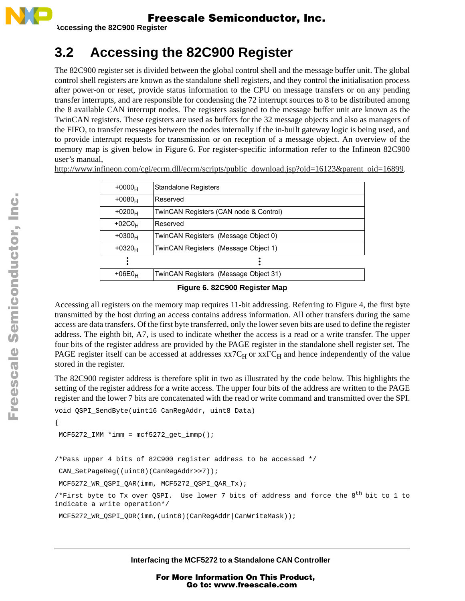

**Accessing the 82C900 Register**

# <span id="page-14-0"></span>**3.2 Accessing the 82C900 Register**

The 82C900 register set is divided between the global control shell and the message buffer unit. The global control shell registers are known as the standalone shell registers, and they control the initialisation process after power-on or reset, provide status information to the CPU on message transfers or on any pending transfer interrupts, and are responsible for condensing the 72 interrupt sources to 8 to be distributed among the 8 available CAN interrupt nodes. The registers assigned to the message buffer unit are known as the TwinCAN registers. These registers are used as buffers for the 32 message objects and also as managers of the FIFO, to transfer messages between the nodes internally if the in-built gateway logic is being used, and to provide interrupt requests for transmission or on reception of a message object. An overview of the memory map is given below in [Figure 6](#page-14-1). For register-specific information refer to the Infineon 82C900 user's manual,

| $+0000H$  | <b>Standalone Registers</b>            |
|-----------|----------------------------------------|
| $+0080_H$ | Reserved                               |
| $+0200_H$ | TwinCAN Registers (CAN node & Control) |
| $+02COH$  | Reserved                               |
| $+0300H$  | TwinCAN Registers (Message Object 0)   |
| $+0320_H$ | TwinCAN Registers (Message Object 1)   |
|           |                                        |
| $+06E0_H$ | TwinCAN Registers (Message Object 31)  |
|           |                                        |

http://www.infineon.com/cgi/ecrm.dll/ecrm/scripts/public\_download.jsp?oid=16123&parent\_oid=16899.

#### **Figure 6. 82C900 Register Map**

<span id="page-14-1"></span>Accessing all registers on the memory map requires 11-bit addressing. Referring to [Figure 4,](#page-7-1) the first byte transmitted by the host during an access contains address information. All other transfers during the same access are data transfers. Of the first byte transferred, only the lower seven bits are used to define the register address. The eighth bit, A7, is used to indicate whether the access is a read or a write transfer. The upper four bits of the register address are provided by the PAGE register in the standalone shell register set. The PAGE register itself can be accessed at addresses  $xx7C_H$  or  $xxFC_H$  and hence independently of the value stored in the register.

The 82C900 register address is therefore split in two as illustrated by the code below. This highlights the setting of the register address for a write access. The upper four bits of the address are written to the PAGE register and the lower 7 bits are concatenated with the read or write command and transmitted over the SPI.

```
void QSPI_SendByte(uint16 CanRegAddr, uint8 Data)
```

```
MCF5272_LIMM *imm = mcf5272_get_immp();
```

```
/*Pass upper 4 bits of 82C900 register address to be accessed */
```
CAN\_SetPageReg((uint8)(CanRegAddr>>7));

MCF5272 WR\_OSPI\_OAR(imm, MCF5272\_OSPI\_OAR\_Tx);

/\*First byte to Tx over QSPI. Use lower 7 bits of address and force the  $8^{\text{th}}$  bit to 1 to indicate a write operation\*/

MCF5272\_WR\_QSPI\_QDR(imm,(uint8)(CanRegAddr|CanWriteMask));

**Interfacing the MCF5272 to a Standalone CAN Controller**

{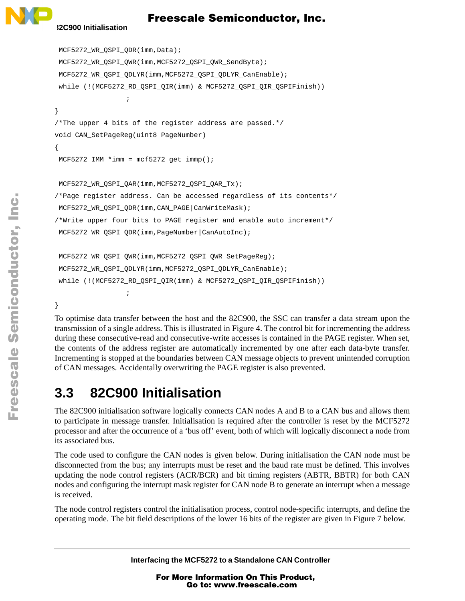

#### **82C900 Initialisation**

```
MCF5272_WR_QSPI_QDR(imm,Data);
MCF5272_WR_QSPI_QWR(imm,MCF5272_QSPI_QWR_SendByte);
MCF5272_WR_QSPI_QDLYR(imm,MCF5272_QSPI_QDLYR_CanEnable);
while (!(MCF5272_RD_QSPI_QIR(imm) & MCF5272_QSPI_QIR_QSPIFinish))
                  ;
}
/*The upper 4 bits of the register address are passed.*/
void CAN_SetPageReg(uint8 PageNumber)
{
MCF5272_IMM *imm = mcf5272_get_immp();
MCF5272_WR_QSPI_QAR(imm,MCF5272_QSPI_QAR_Tx);
/*Page register address. Can be accessed regardless of its contents*/
MCF5272_WR_QSPI_QDR(imm,CAN_PAGE|CanWriteMask);
/*Write upper four bits to PAGE register and enable auto increment*/
MCF5272_WR_QSPI_QDR(imm,PageNumber|CanAutoInc);
MCF5272_WR_QSPI_QWR(imm,MCF5272_QSPI_QWR_SetPageReg);
MCF5272 WR_OSPI_ODLYR(imm,MCF5272_OSPI_ODLYR_CanEnable);
while (!(MCF5272_RD_QSPI_QIR(imm) & MCF5272_QSPI_QIR_QSPIFinish))
                  ;
```
}

To optimise data transfer between the host and the 82C900, the SSC can transfer a data stream upon the transmission of a single address. This is illustrated in [Figure 4.](#page-7-1) The control bit for incrementing the address during these consecutive-read and consecutive-write accesses is contained in the PAGE register. When set, the contents of the address register are automatically incremented by one after each data-byte transfer. Incrementing is stopped at the boundaries between CAN message objects to prevent unintended corruption of CAN messages. Accidentally overwriting the PAGE register is also prevented.

## **3.3 82C900 Initialisation**

The 82C900 initialisation software logically connects CAN nodes A and B to a CAN bus and allows them to participate in message transfer. Initialisation is required after the controller is reset by the MCF5272 processor and after the occurrence of a 'bus off' event, both of which will logically disconnect a node from its associated bus.

The code used to configure the CAN nodes is given below. During initialisation the CAN node must be disconnected from the bus; any interrupts must be reset and the baud rate must be defined. This involves updating the node control registers (ACR/BCR) and bit timing registers (ABTR, BBTR) for both CAN nodes and configuring the interrupt mask register for CAN node B to generate an interrupt when a message is received.

The node control registers control the initialisation process, control node-specific interrupts, and define the operating mode. The bit field descriptions of the lower 16 bits of the register are given in [Figure 7](#page-16-0) below.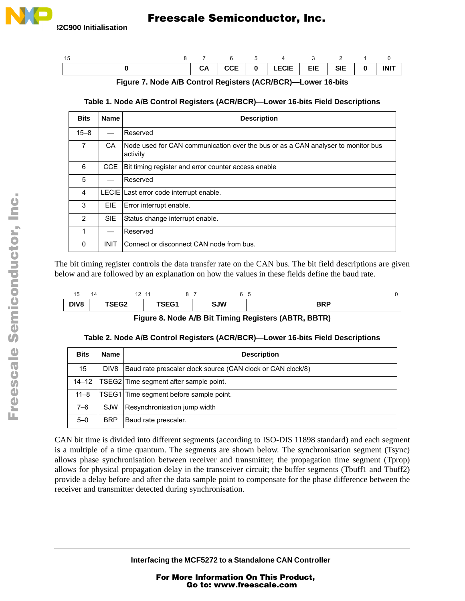

<span id="page-16-0"></span>

| -15 |  | 8 7 6 5 4 3 2 1 0                                                                             |  |  |
|-----|--|-----------------------------------------------------------------------------------------------|--|--|
|     |  | $\vert$ CA $\vert$ CCE $\vert$ 0 $\vert$ LECIE $\vert$ EIE $\vert$ SIE $\vert$ 0 $\vert$ INIT |  |  |

**Figure 7. Node A/B Control Registers (ACR/BCR)—Lower 16-bits**

#### **Table 1. Node A/B Control Registers (ACR/BCR)—Lower 16-bits Field Descriptions**

| <b>Bits</b>    | <b>Name</b> | <b>Description</b>                                                                           |  |  |
|----------------|-------------|----------------------------------------------------------------------------------------------|--|--|
| $15 - 8$       |             | Reserved                                                                                     |  |  |
| $\overline{7}$ | CA          | Node used for CAN communication over the bus or as a CAN analyser to monitor bus<br>activity |  |  |
| 6              | CCE.        | Bit timing register and error counter access enable                                          |  |  |
| 5              |             | Reserved                                                                                     |  |  |
| 4              |             | LECIE Last error code interrupt enable.                                                      |  |  |
| 3              | EIE.        | Error interrupt enable.                                                                      |  |  |
| $\overline{2}$ | <b>SIE</b>  | Status change interrupt enable.                                                              |  |  |
| 1              |             | Reserved                                                                                     |  |  |
| $\Omega$       | <b>INIT</b> | Connect or disconnect CAN node from bus.                                                     |  |  |

The bit timing register controls the data transfer rate on the CAN bus. The bit field descriptions are given below and are followed by an explanation on how the values in these fields define the baud rate.

| $\overline{A}$<br>∽<br>. ب | 44 | $\sim$<br>. . | $-11$<br>. . |            | ◡          |
|----------------------------|----|---------------|--------------|------------|------------|
| DIV <sub>8</sub>           |    | TSEG2         | TSEG1        | <b>SJW</b> | <b>BRP</b> |

#### **Figure 8. Node A/B Bit Timing Registers (ABTR, BBTR)**

### **Table 2. Node A/B Control Registers (ACR/BCR)—Lower 16-bits Field Descriptions**

| <b>Bits</b> | <b>Name</b> | <b>Description</b>                                          |
|-------------|-------------|-------------------------------------------------------------|
| 15          | DIV8        | Baud rate prescaler clock source (CAN clock or CAN clock/8) |
| 14–12       |             | TSEG2 Time segment after sample point.                      |
| $11 - 8$    |             | TSEG1 Time segment before sample point.                     |
| $7 - 6$     | <b>SJW</b>  | Resynchronisation jump width                                |
| $5 - 0$     | <b>BRP</b>  | Baud rate prescaler.                                        |

CAN bit time is divided into different segments (according to ISO-DIS 11898 standard) and each segment is a multiple of a time quantum. The segments are shown below. The synchronisation segment (Tsync) allows phase synchronisation between receiver and transmitter; the propagation time segment (Tprop) allows for physical propagation delay in the transceiver circuit; the buffer segments (Tbuff1 and Tbuff2) provide a delay before and after the data sample point to compensate for the phase difference between the receiver and transmitter detected during synchronisation.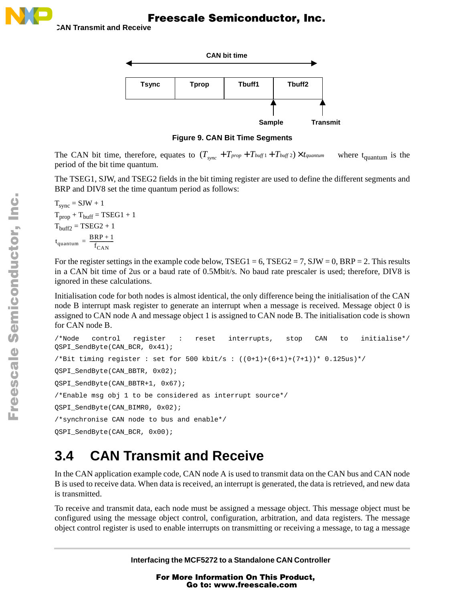



**Sample Transmit**

**Figure 9. CAN Bit Time Segments**

The CAN bit time, therefore, equates to  $(T_{sync} + T_{prop} + T_{buffer} + T_{buffer} + T_{buffer} \times T_{quantum})$  where t<sub>quantum</sub> is the period of the bit time quantum.

The TSEG1, SJW, and TSEG2 fields in the bit timing register are used to define the different segments and BRP and DIV8 set the time quantum period as follows:

 $T_{sync} = SIW + 1$  $T_{\text{prop}} + T_{\text{buffer}} = TSEG1 + 1$  $T<sub>buffer2</sub> = TSEG2 + 1$  $t_{quantum} = \frac{BRP + 1}{f_{max}}$  $=\frac{B_{N1}+1}{f_{CAN}}$ 

For the register settings in the example code below, TSEG1 = 6, TSEG2 = 7, SJW = 0, BRP = 2. This results in a CAN bit time of 2us or a baud rate of 0.5Mbit/s. No baud rate prescaler is used; therefore, DIV8 is ignored in these calculations.

Initialisation code for both nodes is almost identical, the only difference being the initialisation of the CAN node B interrupt mask register to generate an interrupt when a message is received. Message object 0 is assigned to CAN node A and message object 1 is assigned to CAN node B. The initialisation code is shown for CAN node B.

```
/*Node control register : reset interrupts, stop CAN to initialise*/
OSPI_SendByte(CAN_BCR, 0x41);
/*Bit timing register : set for 500 kbit/s : ((0+1)+(6+1)+(7+1))* 0.125us)*/
QSPI_SendByte(CAN_BBTR, 0x02);
QSPI_SendByte(CAN_BBTR+1, 0x67);
/*Enable msg obj 1 to be considered as interrupt source*/
OSPI SendByte(CAN BIMR0, 0x02);
/*synchronise CAN node to bus and enable*/
QSPI_SendByte(CAN_BCR, 0x00);
```
# <span id="page-17-0"></span>**3.4 CAN Transmit and Receive**

In the CAN application example code, CAN node A is used to transmit data on the CAN bus and CAN node B is used to receive data. When data is received, an interrupt is generated, the data is retrieved, and new data is transmitted.

To receive and transmit data, each node must be assigned a message object. This message object must be configured using the message object control, configuration, arbitration, and data registers. The message object control register is used to enable interrupts on transmitting or receiving a message, to tag a message

**Interfacing the MCF5272 to a Standalone CAN Controller**

For More Information On This Product, Go to: www.freescale.com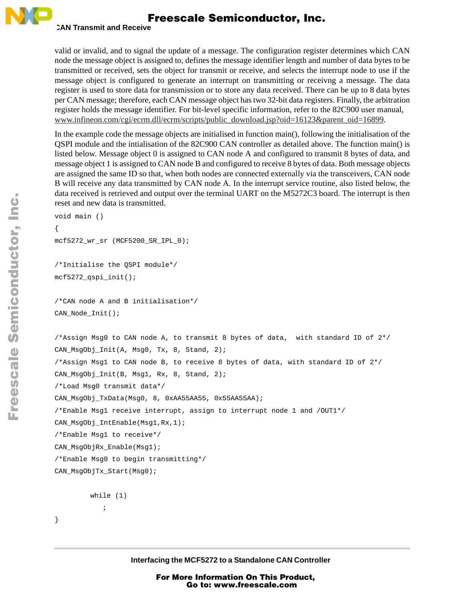

#### **CAN Transmit and Receive**

valid or invalid, and to signal the update of a message. The configuration register determines which CAN node the message object is assigned to, defines the message identifier length and number of data bytes to be transmitted or received, sets the object for transmit or receive, and selects the interrupt node to use if the message object is configured to generate an interrupt on transmitting or receivng a message. The data register is used to store data for transmission or to store any data received. There can be up to 8 data bytes per CAN message; therefore, each CAN message object has two 32-bit data registers. Finally, the arbitration register holds the message identifier. For bit-level specific information, refer to the 82C900 user manual, www.infineon.com/cgi/ecrm.dll/ecrm/scripts/public\_download.jsp?oid=16123&parent\_oid=16899.

In the example code the message objects are initialised in function main(), following the initialisation of the QSPI module and the intialisation of the 82C900 CAN controller as detailed above. The function main() is listed below. Message object 0 is assigned to CAN node A and configured to transmit 8 bytes of data, and message object 1 is assigned to CAN node B and configured to receive 8 bytes of data. Both message objects are assigned the same ID so that, when both nodes are connected externally via the transceivers, CAN node B will receive any data transmitted by CAN node A. In the interrupt service routine, also listed below, the data received is retrieved and output over the terminal UART on the M5272C3 board. The interrupt is then reset and new data is transmitted.

```
void main ()
{
mcf5272_wr_sr (MCF5200_SR_IPL_0);
/*Initialise the QSPI module*/
mcf5272_qspi_init();
/*CAN node A and B initialisation*/
CAN_Node_Init();
/*Assign Msg0 to CAN node A, to transmit 8 bytes of data, with standard ID of 2*/
CAN_MsgObj_Init(A, Msg0, Tx, 8, Stand, 2);
/*Assign Msg1 to CAN node B, to receive 8 bytes of data, with standard ID of 2*/
CAN_MsgObj_Init(B, Msg1, Rx, 8, Stand, 2);
/*Load Msg0 transmit data*/
CAN_MsgObj_TxData(Msg0, 8, 0xAA55AA55, 0x55AA55AA);
/*Enable Msg1 receive interrupt, assign to interrupt node 1 and /OUT1*/
CAN_MsgObj_IntEnable(Msg1,Rx,1);
/*Enable Msg1 to receive*/
CAN_MsgObjRx_Enable(Msg1);
/*Enable Msg0 to begin transmitting*/
CAN_MsgObjTx_Start(Msg0);
        while (1)
            ;
```
}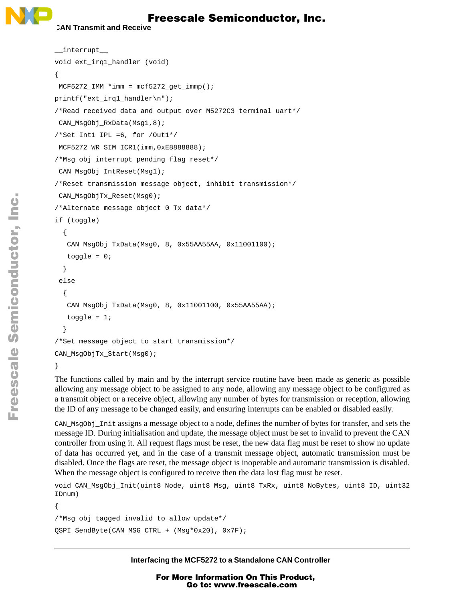#### **CAN Transmit and Receive**

```
__interrupt__
void ext_irq1_handler (void)
{
MCF5272 IMM *imm = mcf5272 qet immp();
printf("ext_irq1_handler\n");
/*Read received data and output over M5272C3 terminal uart*/
CAN MsgObj RxData(Msg1,8);
/*Set Int1 IPL =6, for /Out1*/
MCF5272_WR_SIM_ICR1(imm,0xE8888888);
/*Msg obj interrupt pending flag reset*/
CAN_MsgObj_IntReset(Msg1);
/*Reset transmission message object, inhibit transmission*/
CAN_MsgObjTx_Reset(Msg0);
/*Alternate message object 0 Tx data*/
if (toggle)
  {
   CAN_MsgObj_TxData(Msg0, 8, 0x55AA55AA, 0x11001100);
   toggle = 0;}
 else
  {
   CAN_MsgObj_TxData(Msg0, 8, 0x11001100, 0x55AA55AA);
   toggle = 1;}
/*Set message object to start transmission*/
CAN_MsgObjTx_Start(Msg0);
}
```
The functions called by main and by the interrupt service routine have been made as generic as possible allowing any message object to be assigned to any node, allowing any message object to be configured as a transmit object or a receive object, allowing any number of bytes for transmission or reception, allowing the ID of any message to be changed easily, and ensuring interrupts can be enabled or disabled easily.

CAN\_MsgObj\_Init assigns a message object to a node, defines the number of bytes for transfer, and sets the message ID. During initialisation and update, the message object must be set to invalid to prevent the CAN controller from using it. All request flags must be reset, the new data flag must be reset to show no update of data has occurred yet, and in the case of a transmit message object, automatic transmission must be disabled. Once the flags are reset, the message object is inoperable and automatic transmission is disabled. When the message object is configured to receive then the data lost flag must be reset.

```
void CAN_MsgObj_Init(uint8 Node, uint8 Msg, uint8 TxRx, uint8 NoBytes, uint8 ID, uint32
IDnum)
```

```
{
/*Msg obj tagged invalid to allow update*/
QSPI_SendByte(CAN_MSG_CTRL + (Msg*0x20), 0x7F);
```
**Interfacing the MCF5272 to a Standalone CAN Controller**

F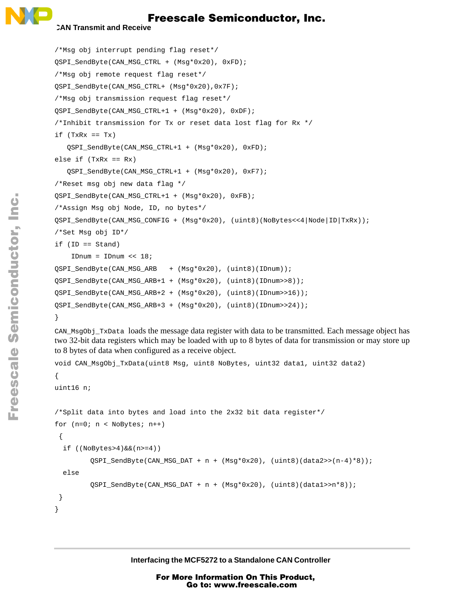#### **CAN Transmit and Receive**

```
/*Msg obj interrupt pending flag reset*/
QSPI_SendByte(CAN_MSG_CTRL + (Msg*0x20), 0xFD);
/*Msg obj remote request flag reset*/
QSPI_SendByte(CAN_MSG_CTRL+ (Msg*0x20),0x7F);
/*Msg obj transmission request flag reset*/
OSPI_SendByte(CAN_MSG_CTRL+1 + (Msg*0x20), 0xDF);
/*Inhibit transmission for Tx or reset data lost flag for Rx */
if (TxRx == Tx)QSPI_SendByte(CAN_MSG_CTRL+1 + (Msg*0x20), 0xFD);
else if (TxRx == Rx)QSPI_SendByte(CAN_MSG_CTRL+1 + (Msg*0x20), 0xF7);
/*Reset msg obj new data flag */
QSPI_SendByte(CAN_MSG_CTRL+1 + (Msg*0x20), 0xFB);
/*Assign Msg obj Node, ID, no bytes*/
QSPI_SendByte(CAN_MSG_CONFIG + (Msg*0x20), (uint8)(NoBytes<<4|Node|ID|TxRx));
/*Set Msg obj ID*/
if (ID == Stand)
    IDnum = IDnum << 18;
OSPI_SendByte(CAN_MSG_ARB + (Msg*0x20), (uint8)(IDnum));
QSPI_SendByte(CAN_MSG_ARB+1 + (Msg*0x20), (uint8)(IDnum>>8));
QSPI_SendByte(CAN_MSG_ARB+2 + (Msg*0x20), (uint8)(IDnum>>16));
QSPI_SendByte(CAN_MSG_ARB+3 + (Msg*0x20), (uint8)(IDnum>>24));
}
```
CAN\_MsgObj\_TxData loads the message data register with data to be transmitted. Each message object has two 32-bit data registers which may be loaded with up to 8 bytes of data for transmission or may store up to 8 bytes of data when configured as a receive object.

```
void CAN_MsgObj_TxData(uint8 Msg, uint8 NoBytes, uint32 data1, uint32 data2)
{
uint16 n;
/*Split data into bytes and load into the 2x32 bit data register*/
for (n=0; n < NoBytes; n++){
  if ((N \odot \text{Bytes}>4) \& (n)=4))QSPI\_SendByte(CAN\_MSG\_DAT + n + (Msg*0x20), (uint8)(data2>n-4)*8));else
         QSPI_SendByte(CAN_MSG_DAT+n+(Msg*0x20), (uint8)(data1>>n*8));
 }
}
```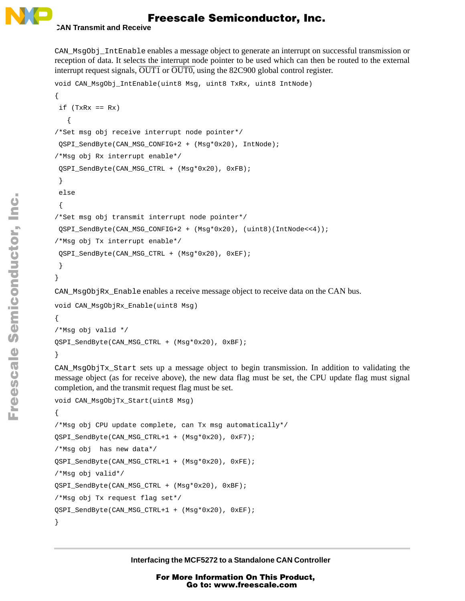

#### **CAN Transmit and Receive**

CAN\_MsgObj\_IntEnable enables a message object to generate an interrupt on successful transmission or reception of data. It selects the interrupt node pointer to be used which can then be routed to the external interrupt request signals,  $\overline{OUT1}$  or  $\overline{OUT0}$ , using the 82C900 global control register.

```
void CAN_MsgObj_IntEnable(uint8 Msg, uint8 TxRx, uint8 IntNode)
{
 if (TxRx == Rx)
   {
/*Set msg obj receive interrupt node pointer*/
 QSPI_SendByte(CAN_MSG_CONFIG+2 + (Msg*0x20), IntNode);
/*Msg obj Rx interrupt enable*/
 QSPI_SendByte(CAN_MSG_CTRL + (Msg*0x20), 0xFB);
 }
 else
 {
/*Set msg obj transmit interrupt node pointer*/
 QSPI_SendByte(CAN_MSG_CONFIG+2 + (Msg*0x20), (uint8)(IntNode<<4));
/*Msg obj Tx interrupt enable*/
QSPI_SendByte(CAN_MSG_CTRL + (Msg*0x20), 0xEF);
 }
}
```
CAN MsgObjRx Enable enables a receive message object to receive data on the CAN bus.

```
void CAN_MsgObjRx_Enable(uint8 Msg)
{
/*Msg obj valid */
QSPI_SendByte(CAN_MSG_CTRL + (Msg*0x20), 0xBF);
}
```
CAN\_MsgObjTx\_Start sets up a message object to begin transmission. In addition to validating the message object (as for receive above), the new data flag must be set, the CPU update flag must signal completion, and the transmit request flag must be set.

```
void CAN_MsgObjTx_Start(uint8 Msg)
{
/*Msg obj CPU update complete, can Tx msg automatically*/
QSPI_SendByte(CAN_MSG_CTRL+1 + (Msg*0x20), 0xF7);
/*Msg obj has new data*/
QSPI_SendByte(CAN_MSG_CTRL+1 + (Msg*0x20), 0xFE);
/*Msg obj valid*/
QSPI_SendByte(CAN_MSG_CTRL + (Msg*0x20), 0xBF);
/*Msg obj Tx request flag set*/
QSPI_SendByte(CAN_MSG_CTRL+1 + (Msg*0x20), 0xEF);
}
```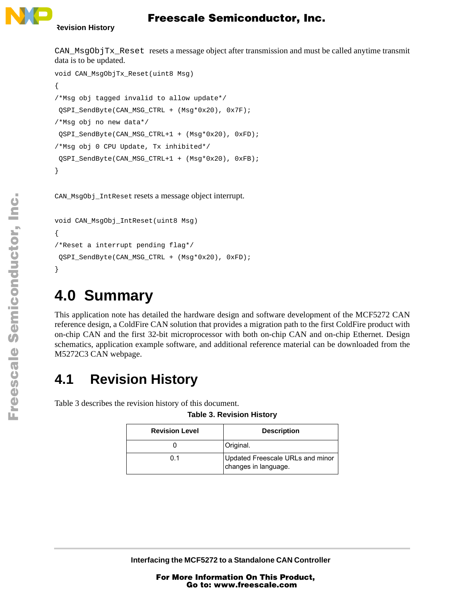

CAN  $MsgObjTx$  Reset resets a message object after transmission and must be called anytime transmit data is to be updated.

```
void CAN_MsgObjTx_Reset(uint8 Msg)
{
/*Msg obj tagged invalid to allow update*/
QSPI_SendByte(CAN_MSG_CTRL + (Msg*0x20), 0x7F);
/*Msg obj no new data*/
OSPI_SendByte(CAN_MSG_CTRL+1 + (Msg*0x20), 0xFD);
/*Msg obj 0 CPU Update, Tx inhibited*/
QSPI_SendByte(CAN_MSG_CTRL+1 + (Msg*0x20), 0xFB);
}
```
CAN\_MsgObj\_IntReset resets a message object interrupt.

```
void CAN_MsgObj_IntReset(uint8 Msg)
{
/*Reset a interrupt pending flag*/
QSPI_SendByte(CAN_MSG_CTRL + (Msg*0x20), 0xFD);
}
```
# **4.0 Summary**

This application note has detailed the hardware design and software development of the MCF5272 CAN reference design, a ColdFire CAN solution that provides a migration path to the first ColdFire product with on-chip CAN and the first 32-bit microprocessor with both on-chip CAN and on-chip Ethernet. Design schematics, application example software, and additional reference material can be downloaded from the M5272C3 CAN webpage.

## **4.1 Revision History**

<span id="page-22-0"></span>[Table 3](#page-22-0) describes the revision history of this document.

| <b>Revision Level</b> | <b>Description</b>                                       |
|-----------------------|----------------------------------------------------------|
|                       | Original.                                                |
| በ 1                   | Updated Freescale URLs and minor<br>changes in language. |

**Table 3. Revision History**